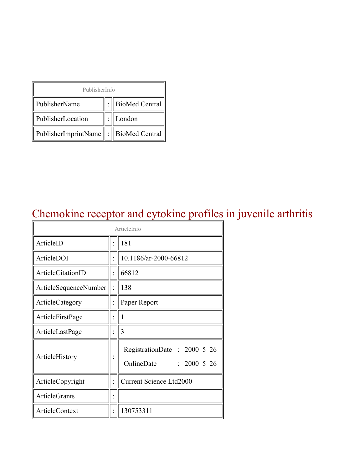| PublisherInfo                              |  |                  |  |  |
|--------------------------------------------|--|------------------|--|--|
| PublisherName                              |  | : BioMed Central |  |  |
| PublisherLocation                          |  | London           |  |  |
| PublisherImprintName   :    BioMed Central |  |                  |  |  |

## Chemokine receptor and cytokine profiles in juvenile arthritis

| ArticleInfo           |  |                                                                |  |
|-----------------------|--|----------------------------------------------------------------|--|
| ArticleID             |  | 181                                                            |  |
| ArticleDOI            |  | 10.1186/ar-2000-66812                                          |  |
| ArticleCitationID     |  | 66812                                                          |  |
| ArticleSequenceNumber |  | 138                                                            |  |
| ArticleCategory       |  | Paper Report                                                   |  |
| ArticleFirstPage      |  | 1                                                              |  |
| ArticleLastPage       |  | 3                                                              |  |
| ArticleHistory        |  | RegistrationDate: 2000-5-26<br>OnlineDate<br>$: 2000 - 5 - 26$ |  |
| ArticleCopyright      |  | <b>Current Science Ltd2000</b>                                 |  |
| <b>ArticleGrants</b>  |  |                                                                |  |
| ArticleContext        |  | 130753311                                                      |  |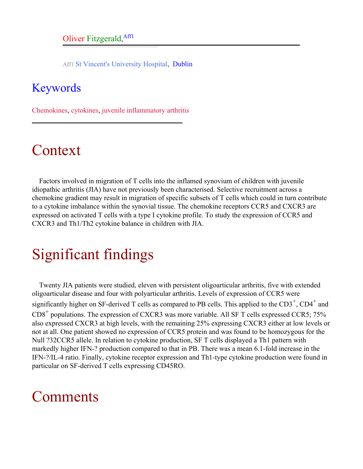Aff1 St Vincent's University Hospital, Dublin

### <span id="page-1-0"></span>Keywords

Chemokines, cytokines, juvenile inflammatory arthritis

# Context

Factors involved in migration of T cells into the inflamed synovium of children with juvenile idiopathic arthritis (JIA) have not previously been characterised. Selective recruitment across a chemokine gradient may result in migration of specific subsets of T cells which could in turn contribute to a cytokine imbalance within the synovial tissue. The chemokine receptors CCR5 and CXCR3 are expressed on activated T cells with a type I cytokine profile. To study the expression of CCR5 and CXCR3 and Th1/Th2 cytokine balance in children with JIA.

# Significant findings

Twenty JIA patients were studied, eleven with persistent oligoarticular arthritis, five with extended oligoarticular disease and four with polyarticular arthritis. Levels of expression of CCR5 were significantly higher on SF-derived T cells as compared to PB cells. This applied to the  $CD3^+$ ,  $CD4^+$  and  $CD8<sup>+</sup>$  populations. The expression of CXCR3 was more variable. All SF T cells expressed CCR5; 75% also expressed CXCR3 at high levels, with the remaining 25% expressing CXCR3 either at low levels or not at all. One patient showed no expression of CCR5 protein and was found to be homozygous for the Null ?32CCR5 allele. In relation to cytokine production, SF T cells displayed a Th1 pattern with markedly higher IFN-? production compared to that in PB. There was a mean 6.1-fold increase in the IFN-?/IL-4 ratio. Finally, cytokine receptor expression and Th1-type cytokine production were found in particular on SF-derived T cells expressing CD45RO.

### Comments